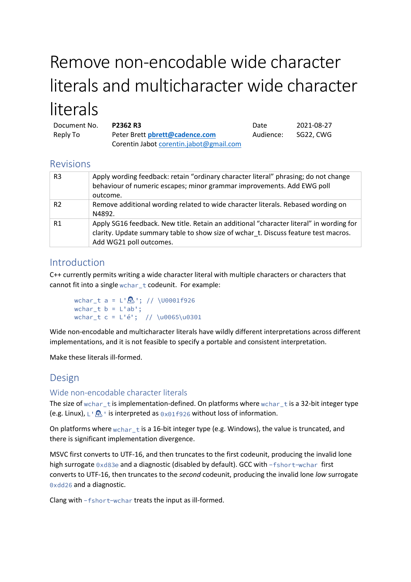# Remove non-encodable wide character literals and multicharacter wide character literals

| Document No. | <b>P2362 R3</b>                         | Date      | 2021-08-27 |
|--------------|-----------------------------------------|-----------|------------|
| Reply To     | Peter Brett pbrett@cadence.com          | Audience: | SG22. CWG  |
|              | Corentin Jabot corentin.jabot@gmail.com |           |            |

# Revisions

| R <sub>3</sub> | Apply wording feedback: retain "ordinary character literal" phrasing; do not change<br>behaviour of numeric escapes; minor grammar improvements. Add EWG poll<br>outcome.                                 |
|----------------|-----------------------------------------------------------------------------------------------------------------------------------------------------------------------------------------------------------|
| R <sub>2</sub> | Remove additional wording related to wide character literals. Rebased wording on<br>N4892.                                                                                                                |
| R <sub>1</sub> | Apply SG16 feedback. New title. Retain an additional "character literal" in wording for<br>clarity. Update summary table to show size of wchar t. Discuss feature test macros.<br>Add WG21 poll outcomes. |

# Introduction

C++ currently permits writing a wide character literal with multiple characters or characters that cannot fit into a single wchar\_t codeunit. For example:

```
wchar_t a = L^{1}\mathbb{R}'; // \U0001f926
wchar_t b = L'ab';wchar_t c = L'é'; // \u0065\u0301
```
Wide non-encodable and multicharacter literals have wildly different interpretations across different implementations, and it is not feasible to specify a portable and consistent interpretation.

Make these literals ill-formed.

# Design

# Wide non-encodable character literals

The size of wchar\_t is implementation-defined. On platforms where wchar\_t is a 32-bit integer type (e.g. Linux),  $L^{\dagger}$   $\mathbb{R}$  ' is interpreted as  $0 \times 01$  f 926 without loss of information.

On platforms where wchar\_t is a 16-bit integer type (e.g. Windows), the value is truncated, and there is significant implementation divergence.

MSVC first converts to UTF-16, and then truncates to the first codeunit, producing the invalid lone high surrogate 0xd83e and a diagnostic (disabled by default). GCC with -fshort-wchar first converts to UTF-16, then truncates to the *second* codeunit, producing the invalid lone *low* surrogate 0xdd26 and a diagnostic.

Clang with -fshort-wchar treats the input as ill-formed.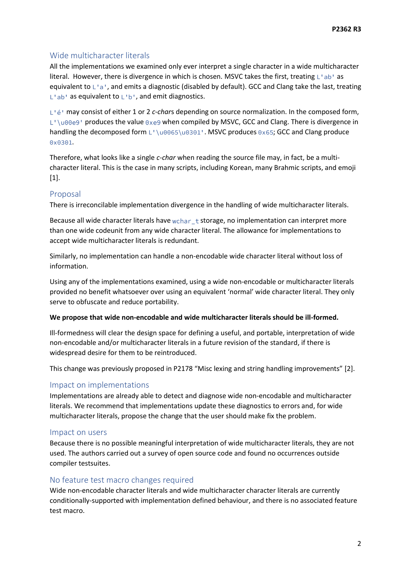## Wide multicharacter literals

All the implementations we examined only ever interpret a single character in a wide multicharacter literal. However, there is divergence in which is chosen. MSVC takes the first, treating  $L^{\dagger}$  ab  $^{\dagger}$  as equivalent to L'a', and emits a diagnostic (disabled by default). GCC and Clang take the last, treating  $L$ 'ab' as equivalent to  $L$ 'b', and emit diagnostics.

may consist of either 1 or 2 *c-char*s depending on source normalization. In the composed form,  $L^{\prime}$  \u00e9' produces the value 0xe9 when compiled by MSVC, GCC and Clang. There is divergence in handling the decomposed form L'\u0065\u0301'. MSVC produces 0x65; GCC and Clang produce  $0x0301.$ 

Therefore, what looks like a single *c-char* when reading the source file may, in fact, be a multicharacter literal. This is the case in many scripts, including Korean, many Brahmic scripts, and emoji [1].

#### Proposal

There is irreconcilable implementation divergence in the handling of wide multicharacter literals.

Because all wide character literals have  $wchar$   $t$  storage, no implementation can interpret more than one wide codeunit from any wide character literal. The allowance for implementations to accept wide multicharacter literals is redundant.

Similarly, no implementation can handle a non-encodable wide character literal without loss of information.

Using any of the implementations examined, using a wide non-encodable or multicharacter literals provided no benefit whatsoever over using an equivalent 'normal' wide character literal. They only serve to obfuscate and reduce portability.

#### **We propose that wide non-encodable and wide multicharacter literals should be ill-formed.**

Ill-formedness will clear the design space for defining a useful, and portable, interpretation of wide non-encodable and/or multicharacter literals in a future revision of the standard, if there is widespread desire for them to be reintroduced.

This change was previously proposed in P2178 "Misc lexing and string handling improvements" [2].

## Impact on implementations

Implementations are already able to detect and diagnose wide non-encodable and multicharacter literals. We recommend that implementations update these diagnostics to errors and, for wide multicharacter literals, propose the change that the user should make fix the problem.

#### Impact on users

Because there is no possible meaningful interpretation of wide multicharacter literals, they are not used. The authors carried out a survey of open source code and found no occurrences outside compiler testsuites.

#### No feature test macro changes required

Wide non-encodable character literals and wide multicharacter character literals are currently conditionally-supported with implementation defined behaviour, and there is no associated feature test macro.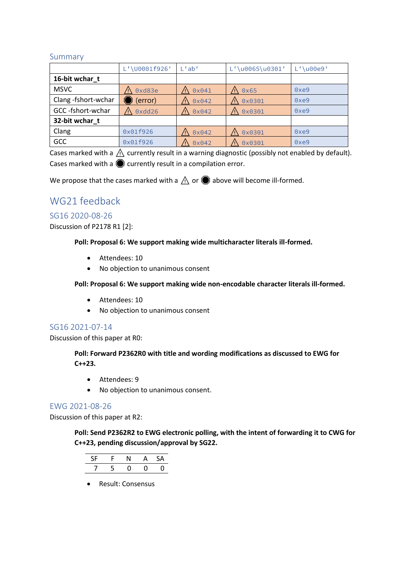## Summary

|                    | L'\U0001f926' | $L'$ ab'       | L'\u0065\u0301' | $L'$ \u00e9' |
|--------------------|---------------|----------------|-----------------|--------------|
| 16-bit wchar t     |               |                |                 |              |
| <b>MSVC</b>        | 0xd83e        | $0 \times 041$ | 0x65            | 0xe9         |
| Clang-fshort-wchar | (error)       | 0x042          | 0x0301          | 0xe9         |
| GCC-fshort-wchar   | $0$ xdd $26$  | $0 \times 042$ | 0x0301          | 0xe9         |
| 32-bit wchar t     |               |                |                 |              |
| Clang              | 0x01f926      | 0x042          | 0x0301          | 0xe9         |
| GCC                | 0x01f926      | 0x042          | 0x0301<br>Ψ     | 0xe9         |

Cases marked with a  $\Lambda$  currently result in a warning diagnostic (possibly not enabled by default). Cases marked with a  $\bigcirc$  currently result in a compilation error.

We propose that the cases marked with a  $\Lambda$  or  $\bullet$  above will become ill-formed.

# WG21 feedback

## SG16 2020-08-26

Discussion of P2178 R1 [2]:

**Poll: Proposal 6: We support making wide multicharacter literals ill-formed.**

- Attendees: 10
- No objection to unanimous consent

**Poll: Proposal 6: We support making wide non-encodable character literals ill-formed.**

- Attendees: 10
- No objection to unanimous consent

## SG16 2021-07-14

Discussion of this paper at R0:

**Poll: Forward P2362R0 with title and wording modifications as discussed to EWG for C++23.**

- Attendees: 9
- No objection to unanimous consent.

## EWG 2021-08-26

Discussion of this paper at R2:

**Poll: Send P2362R2 to EWG electronic polling, with the intent of forwarding it to CWG for C++23, pending discussion/approval by SG22.**

| -SF |               |  |  |
|-----|---------------|--|--|
|     | $\rightarrow$ |  |  |

• Result: Consensus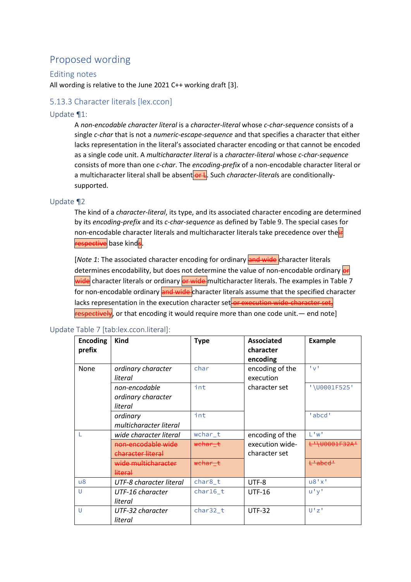# Proposed wording

## Editing notes

All wording is relative to the June 2021 C++ working draft [3].

## 5.13.3 Character literals [lex.ccon]

## Update ¶1:

A *non-encodable character literal* is a *character-literal* whose *c-char-sequence* consists of a single *c-char* that is not a *numeric-escape-sequence* and that specifies a character that either lacks representation in the literal's associated character encoding or that cannot be encoded as a single code unit. A *multicharacter literal* is a *character-literal* whose *c-char-sequence* consists of more than one *c-char*. The *encoding-prefix* of a non-encodable character literal or a multicharacter literal shall be absent or L. Such *character-literals* are conditionallysupported.

## Update ¶2

The kind of a *character-literal*, its type, and its associated character encoding are determined by its *encoding-prefix* and its *c-char-sequence* as defined by Table 9. The special cases for non-encodable character literals and multicharacter literals take precedence over the respective base kinds.

[*Note 1*: The associated character encoding for ordinary and wide character literals determines encodability, but does not determine the value of non-encodable ordinary or wide character literals or ordinary or wide multicharacter literals. The examples in Table 7 for non-encodable ordinary and wide character literals assume that the specified character lacks representation in the execution character set or execution wide-character set,  $r$ espectively, or that encoding it would require more than one code unit.— end note]

| <b>Encoding</b><br>prefix | Kind                                               | <b>Type</b>        | <b>Associated</b><br>character<br>encoding | <b>Example</b>                                |
|---------------------------|----------------------------------------------------|--------------------|--------------------------------------------|-----------------------------------------------|
| None                      | ordinary character<br>literal                      | char               | encoding of the<br>execution               | 1 <sub>N</sub> 1                              |
|                           | non-encodable<br>ordinary character<br>literal     | int                | character set                              | '\U0001F525'                                  |
|                           | ordinary<br>multicharacter literal                 | int                |                                            | 'abcd'                                        |
|                           | wide character literal                             | wchar_t            | encoding of the                            | $1$ $^{\prime}$ $W$ <sup><math>1</math></sup> |
|                           | non-encodable wide<br><del>character literal</del> | <del>wchar_t</del> | execution wide-<br>character set           | <del>L'\U0001F32A'</del>                      |
|                           | wide multicharacter<br><del>literal</del>          | <del>wchar t</del> |                                            | <del>L'abed'</del>                            |
| $\mathsf{u}8$             | UTF-8 character literal                            | char8_t            | UTF-8                                      | u8'x'                                         |
| U                         | UTF-16 character<br>literal                        | char16 t           | <b>UTF-16</b>                              | u'y'                                          |
| U                         | UTF-32 character<br>literal                        | char32 t           | <b>UTF-32</b>                              | U'Z'                                          |

#### Update Table 7 [tab:lex.ccon.literal]: